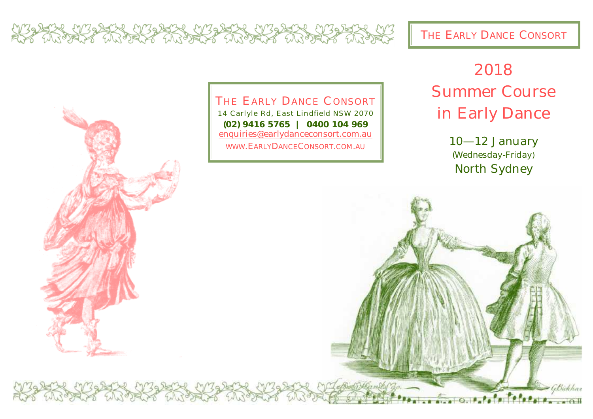AR FRANK FRANKA FRANKA FRANKA FRANKA

THE EARLY DANCE CONSORT



THE EARLY DANCE CONSORT

14 Carlyle Rd, East Lindfield NSW 2070 **(02) 9416 5765 | 0400 104 969**  [enquiries@earlydanceconsort.com.au](mailto:enquiries@earlydanceconsort.com.au) WWW.EARLYDANCECONSORT.COM.AU

## 2018 Summer Course in Early Dance

10—12 January *(Wednesday-Friday*) North Sydney

GBickhar

 $\bullet$   $\bullet$   $\bullet$   $\bullet$   $\bullet$   $\bullet$